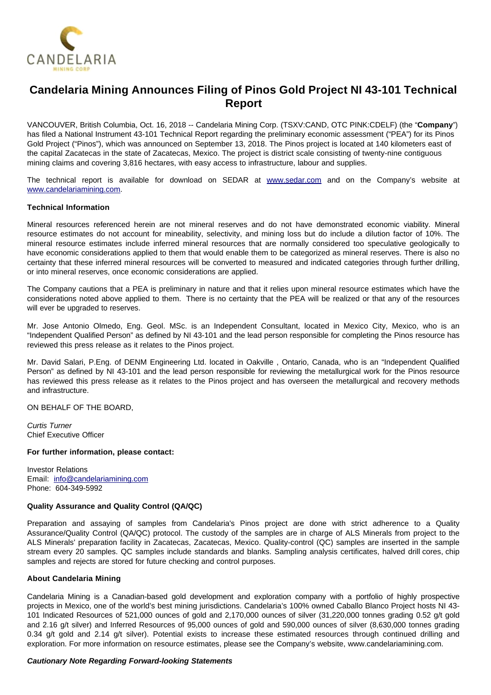

# **Candelaria Mining Announces Filing of Pinos Gold Project NI 43-101 Technical Report**

VANCOUVER, British Columbia, Oct. 16, 2018 -- Candelaria Mining Corp. (TSXV:CAND, OTC PINK:CDELF) (the "**Company**") has filed a National Instrument 43-101 Technical Report regarding the preliminary economic assessment ("PEA") for its Pinos Gold Project ("Pinos"), which was announced on September 13, 2018. The Pinos project is located at 140 kilometers east of the capital Zacatecas in the state of Zacatecas, Mexico. The project is district scale consisting of twenty-nine contiguous mining claims and covering 3,816 hectares, with easy access to infrastructure, labour and supplies.

The technical report is available for download on SEDAR at [www.sedar.com](http://www.sedar.com/) and on the Company's website at [www.candelariamining.com.](http://www.candelariamining.com/)

## **Technical Information**

Mineral resources referenced herein are not mineral reserves and do not have demonstrated economic viability. Mineral resource estimates do not account for mineability, selectivity, and mining loss but do include a dilution factor of 10%. The mineral resource estimates include inferred mineral resources that are normally considered too speculative geologically to have economic considerations applied to them that would enable them to be categorized as mineral reserves. There is also no certainty that these inferred mineral resources will be converted to measured and indicated categories through further drilling, or into mineral reserves, once economic considerations are applied.

The Company cautions that a PEA is preliminary in nature and that it relies upon mineral resource estimates which have the considerations noted above applied to them. There is no certainty that the PEA will be realized or that any of the resources will ever be upgraded to reserves.

Mr. Jose Antonio Olmedo, Eng. Geol. MSc. is an Independent Consultant, located in Mexico City, Mexico, who is an "Independent Qualified Person" as defined by NI 43-101 and the lead person responsible for completing the Pinos resource has reviewed this press release as it relates to the Pinos project.

Mr. David Salari, P.Eng. of DENM Engineering Ltd. located in Oakville , Ontario, Canada, who is an "Independent Qualified Person" as defined by NI 43-101 and the lead person responsible for reviewing the metallurgical work for the Pinos resource has reviewed this press release as it relates to the Pinos project and has overseen the metallurgical and recovery methods and infrastructure.

ON BEHALF OF THE BOARD,

Curtis Turner Chief Executive Officer

#### **For further information, please contact:**

Investor Relations Email: [info@candelariamining.com](mailto:contact@candelariamining.com) Phone: 604-349-5992

## **Quality Assurance and Quality Control (QA/QC)**

Preparation and assaying of samples from Candelaria's Pinos project are done with strict adherence to a Quality Assurance/Quality Control (QA/QC) protocol. The custody of the samples are in charge of ALS Minerals from project to the ALS Minerals' preparation facility in Zacatecas, Zacatecas, Mexico. Quality-control (QC) samples are inserted in the sample stream every 20 samples. QC samples include standards and blanks. Sampling analysis certificates, halved drill cores, chip samples and rejects are stored for future checking and control purposes.

#### **About Candelaria Mining**

Candelaria Mining is a Canadian-based gold development and exploration company with a portfolio of highly prospective projects in Mexico, one of the world's best mining jurisdictions. Candelaria's 100% owned Caballo Blanco Project hosts NI 43- 101 Indicated Resources of 521,000 ounces of gold and 2,170,000 ounces of silver (31,220,000 tonnes grading 0.52 g/t gold and 2.16 g/t silver) and Inferred Resources of 95,000 ounces of gold and 590,000 ounces of silver (8,630,000 tonnes grading 0.34 g/t gold and 2.14 g/t silver). Potential exists to increase these estimated resources through continued drilling and exploration. For more information on resource estimates, please see the Company's website, www.candelariamining.com.

# **Cautionary Note Regarding Forward-looking Statements**